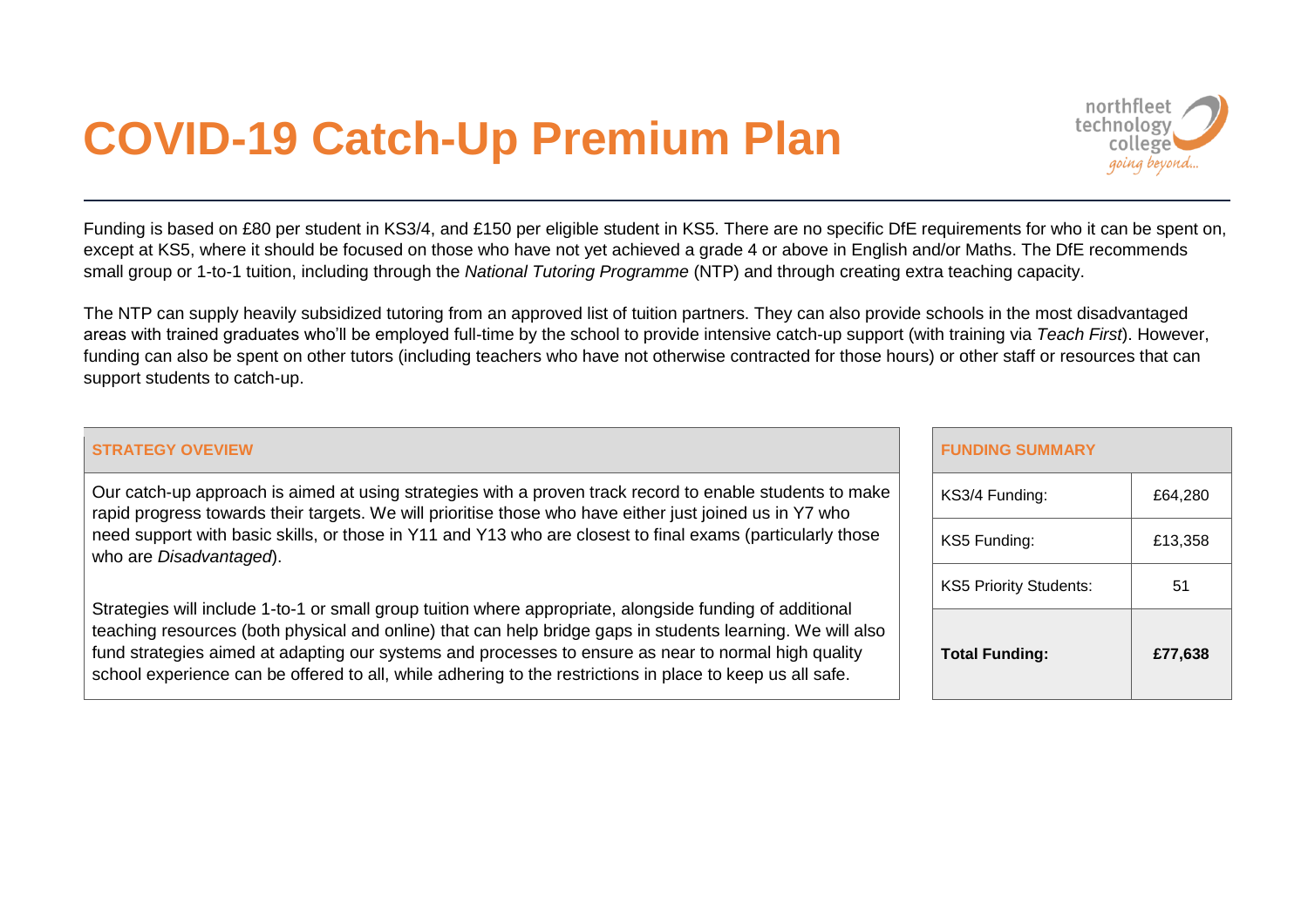## **COVID-19 Catch-Up Premium Plan**



Funding is based on £80 per student in KS3/4, and £150 per eligible student in KS5. There are no specific DfE requirements for who it can be spent on, except at KS5, where it should be focused on those who have not yet achieved a grade 4 or above in English and/or Maths. The DfE recommends small group or 1-to-1 tuition, including through the *National Tutoring Programme* (NTP) and through creating extra teaching capacity.

The NTP can supply heavily subsidized tutoring from an approved list of tuition partners. They can also provide schools in the most disadvantaged areas with trained graduates who'll be employed full-time by the school to provide intensive catch-up support (with training via *Teach First*). However, funding can also be spent on other tutors (including teachers who have not otherwise contracted for those hours) or other staff or resources that can support students to catch-up.

## **STRATEGY OVEVIEW**

Our catch-up approach is aimed at using strategies with a proven track record to enable students to make rapid progress towards their targets. We will prioritise those who have either just joined us in Y7 who need support with basic skills, or those in Y11 and Y13 who are closest to final exams (particularly those who are *Disadvantaged*).

Strategies will include 1-to-1 or small group tuition where appropriate, alongside funding of additional teaching resources (both physical and online) that can help bridge gaps in students learning. We will also fund strategies aimed at adapting our systems and processes to ensure as near to normal high quality school experience can be offered to all, while adhering to the restrictions in place to keep us all safe.

| <b>FUNDING SUMMARY</b>        |         |
|-------------------------------|---------|
| KS3/4 Funding:                | £64,280 |
| KS5 Funding:                  | £13,358 |
| <b>KS5 Priority Students:</b> | 51      |
| <b>Total Funding:</b>         | £77,638 |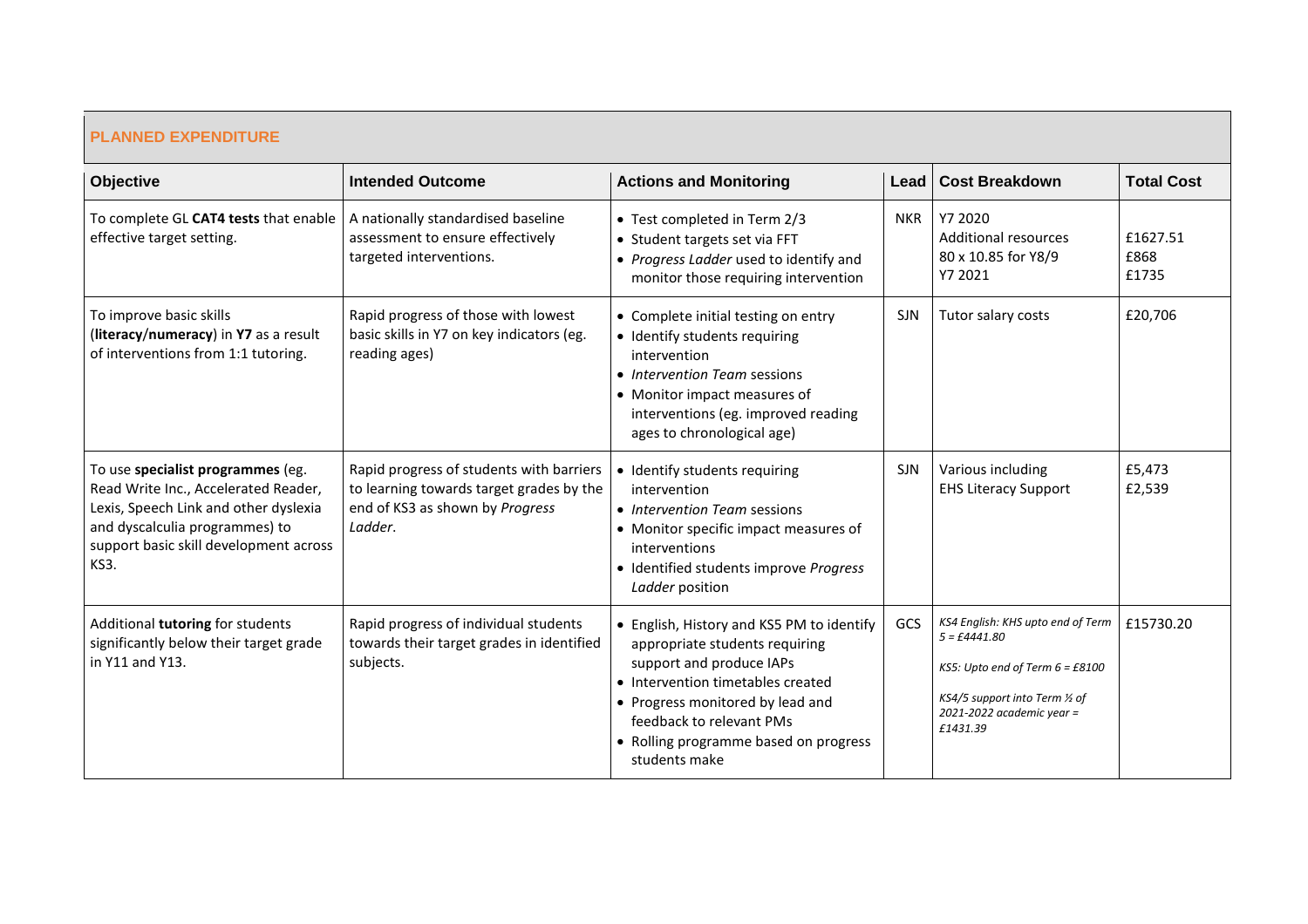| <b>PLANNED EXPENDITURE</b>                                                                                                                                                                             |                                                                                                                                    |                                                                                                                                                                                                                                                                        |            |                                                                                                                                                                                          |                           |
|--------------------------------------------------------------------------------------------------------------------------------------------------------------------------------------------------------|------------------------------------------------------------------------------------------------------------------------------------|------------------------------------------------------------------------------------------------------------------------------------------------------------------------------------------------------------------------------------------------------------------------|------------|------------------------------------------------------------------------------------------------------------------------------------------------------------------------------------------|---------------------------|
| Objective                                                                                                                                                                                              | <b>Intended Outcome</b>                                                                                                            | <b>Actions and Monitoring</b>                                                                                                                                                                                                                                          |            | Lead   Cost Breakdown                                                                                                                                                                    | <b>Total Cost</b>         |
| To complete GL CAT4 tests that enable<br>effective target setting.                                                                                                                                     | A nationally standardised baseline<br>assessment to ensure effectively<br>targeted interventions.                                  | • Test completed in Term 2/3<br>• Student targets set via FFT<br>• Progress Ladder used to identify and<br>monitor those requiring intervention                                                                                                                        | <b>NKR</b> | Y7 2020<br>Additional resources<br>80 x 10.85 for Y8/9<br>Y7 2021                                                                                                                        | £1627.51<br>£868<br>£1735 |
| To improve basic skills<br>(literacy/numeracy) in Y7 as a result<br>of interventions from 1:1 tutoring.                                                                                                | Rapid progress of those with lowest<br>basic skills in Y7 on key indicators (eg.<br>reading ages)                                  | • Complete initial testing on entry<br>• Identify students requiring<br>intervention<br>• Intervention Team sessions<br>• Monitor impact measures of<br>interventions (eg. improved reading<br>ages to chronological age)                                              | <b>SJN</b> | Tutor salary costs                                                                                                                                                                       | £20,706                   |
| To use specialist programmes (eg.<br>Read Write Inc., Accelerated Reader,<br>Lexis, Speech Link and other dyslexia<br>and dyscalculia programmes) to<br>support basic skill development across<br>KS3. | Rapid progress of students with barriers<br>to learning towards target grades by the<br>end of KS3 as shown by Progress<br>Ladder. | • Identify students requiring<br>intervention<br>• Intervention Team sessions<br>• Monitor specific impact measures of<br>interventions<br>• Identified students improve Progress<br>Ladder position                                                                   | <b>SJN</b> | Various including<br><b>EHS Literacy Support</b>                                                                                                                                         | £5,473<br>£2,539          |
| Additional tutoring for students<br>significantly below their target grade<br>in Y11 and Y13.                                                                                                          | Rapid progress of individual students<br>towards their target grades in identified<br>subjects.                                    | • English, History and KS5 PM to identify<br>appropriate students requiring<br>support and produce IAPs<br>• Intervention timetables created<br>• Progress monitored by lead and<br>feedback to relevant PMs<br>• Rolling programme based on progress<br>students make | GCS        | KS4 English: KHS upto end of Term<br>$5 = \text{\textsterling}4441.80$<br>KS5: Upto end of Term 6 = £8100<br>KS4/5 support into Term 1/2 of<br>$2021 - 2022$ academic year =<br>£1431.39 | £15730.20                 |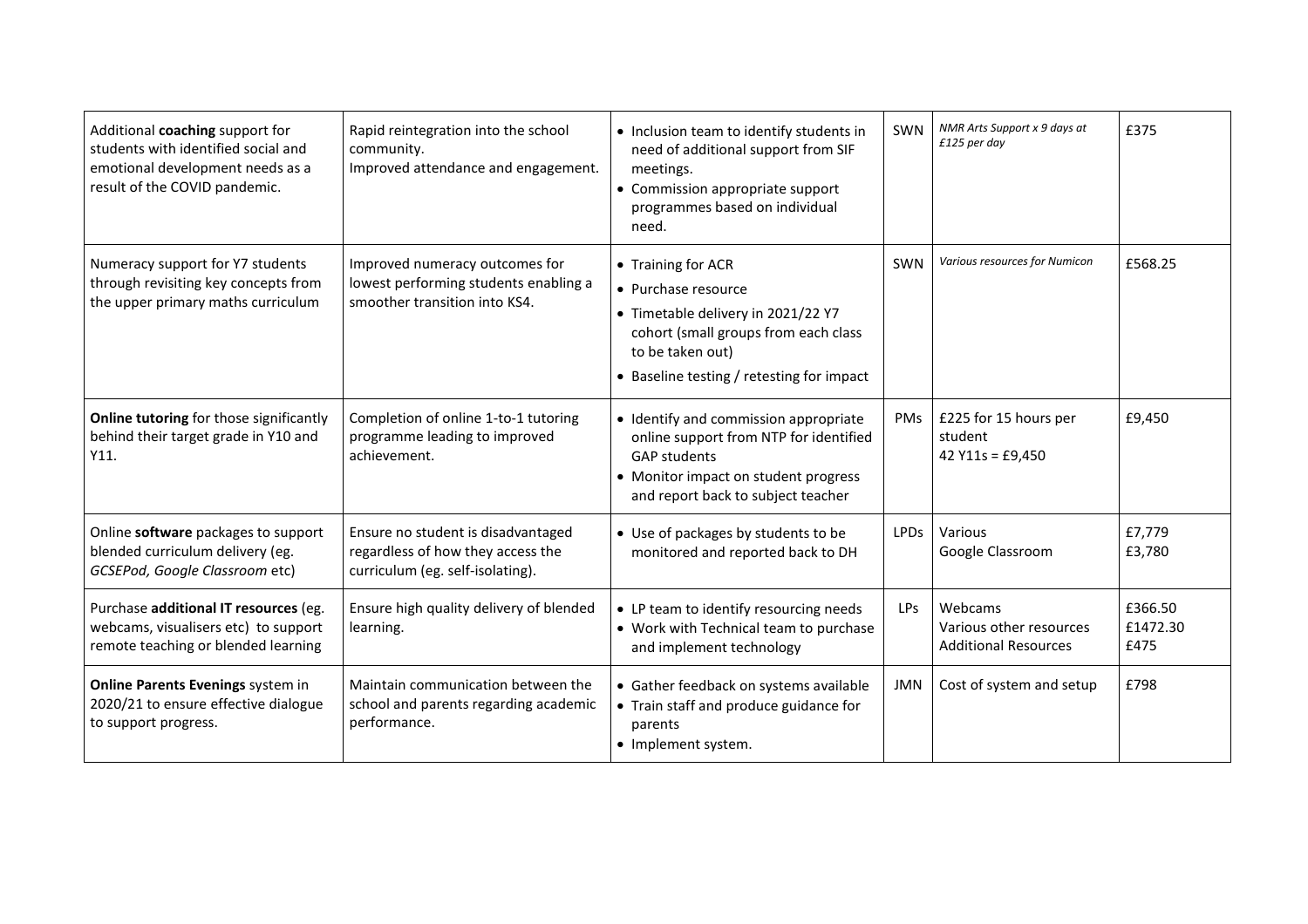| Additional coaching support for<br>students with identified social and<br>emotional development needs as a<br>result of the COVID pandemic. | Rapid reintegration into the school<br>community.<br>Improved attendance and engagement.                    | • Inclusion team to identify students in<br>need of additional support from SIF<br>meetings.<br>• Commission appropriate support<br>programmes based on individual<br>need.              | SWN             | NMR Arts Support x 9 days at<br>£125 per day                      | £375                        |
|---------------------------------------------------------------------------------------------------------------------------------------------|-------------------------------------------------------------------------------------------------------------|------------------------------------------------------------------------------------------------------------------------------------------------------------------------------------------|-----------------|-------------------------------------------------------------------|-----------------------------|
| Numeracy support for Y7 students<br>through revisiting key concepts from<br>the upper primary maths curriculum                              | Improved numeracy outcomes for<br>lowest performing students enabling a<br>smoother transition into KS4.    | • Training for ACR<br>• Purchase resource<br>• Timetable delivery in 2021/22 Y7<br>cohort (small groups from each class<br>to be taken out)<br>• Baseline testing / retesting for impact | SWN             | Various resources for Numicon                                     | £568.25                     |
| Online tutoring for those significantly<br>behind their target grade in Y10 and<br>Y11.                                                     | Completion of online 1-to-1 tutoring<br>programme leading to improved<br>achievement.                       | • Identify and commission appropriate<br>online support from NTP for identified<br><b>GAP students</b><br>• Monitor impact on student progress<br>and report back to subject teacher     | PMs             | £225 for 15 hours per<br>student<br>42 $Y11s = £9,450$            | £9,450                      |
| Online software packages to support<br>blended curriculum delivery (eg.<br>GCSEPod, Google Classroom etc)                                   | Ensure no student is disadvantaged<br>regardless of how they access the<br>curriculum (eg. self-isolating). | • Use of packages by students to be<br>monitored and reported back to DH                                                                                                                 | <b>LPDs</b>     | Various<br>Google Classroom                                       | £7,779<br>£3,780            |
| Purchase additional IT resources (eg.<br>webcams, visualisers etc) to support<br>remote teaching or blended learning                        | Ensure high quality delivery of blended<br>learning.                                                        | • LP team to identify resourcing needs<br>• Work with Technical team to purchase<br>and implement technology                                                                             | LP <sub>S</sub> | Webcams<br>Various other resources<br><b>Additional Resources</b> | £366.50<br>£1472.30<br>£475 |
| Online Parents Evenings system in<br>2020/21 to ensure effective dialogue<br>to support progress.                                           | Maintain communication between the<br>school and parents regarding academic<br>performance.                 | • Gather feedback on systems available<br>• Train staff and produce guidance for<br>parents<br>• Implement system.                                                                       | JMN             | Cost of system and setup                                          | £798                        |